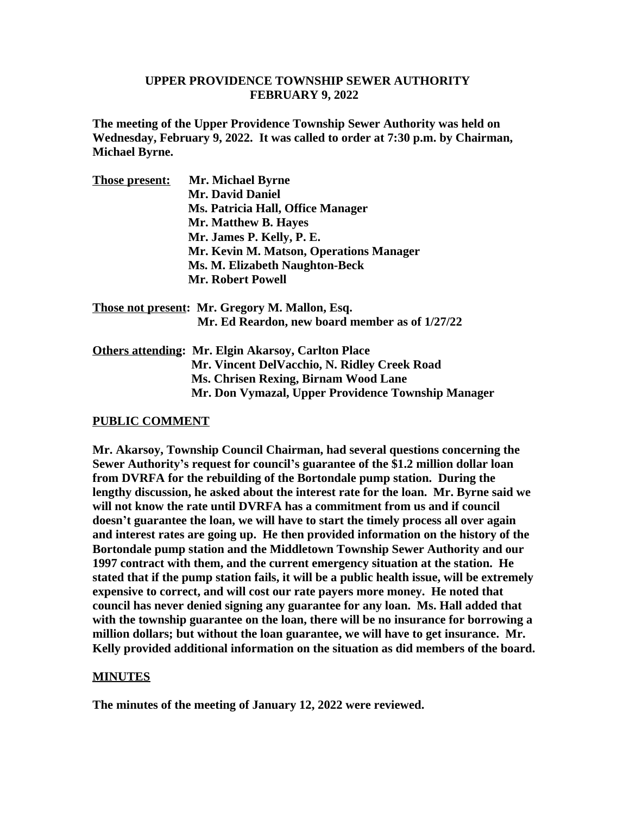#### **UPPER PROVIDENCE TOWNSHIP SEWER AUTHORITY FEBRUARY 9, 2022**

**The meeting of the Upper Providence Township Sewer Authority was held on Wednesday, February 9, 2022. It was called to order at 7:30 p.m. by Chairman, Michael Byrne.**

| <b>Those present:</b> | <b>Mr. Michael Byrne</b>                |
|-----------------------|-----------------------------------------|
|                       | <b>Mr. David Daniel</b>                 |
|                       | Ms. Patricia Hall, Office Manager       |
|                       | Mr. Matthew B. Hayes                    |
|                       | Mr. James P. Kelly, P. E.               |
|                       | Mr. Kevin M. Matson, Operations Manager |
|                       | Ms. M. Elizabeth Naughton-Beck          |
|                       | <b>Mr. Robert Powell</b>                |

**Those not present: Mr. Gregory M. Mallon, Esq. Mr. Ed Reardon, new board member as of 1/27/22**

**Others attending: Mr. Elgin Akarsoy, Carlton Place Mr. Vincent DelVacchio, N. Ridley Creek Road Ms. Chrisen Rexing, Birnam Wood Lane Mr. Don Vymazal, Upper Providence Township Manager**

### **PUBLIC COMMENT**

**Mr. Akarsoy, Township Council Chairman, had several questions concerning the Sewer Authority's request for council's guarantee of the \$1.2 million dollar loan from DVRFA for the rebuilding of the Bortondale pump station. During the lengthy discussion, he asked about the interest rate for the loan. Mr. Byrne said we will not know the rate until DVRFA has a commitment from us and if council doesn't guarantee the loan, we will have to start the timely process all over again and interest rates are going up. He then provided information on the history of the Bortondale pump station and the Middletown Township Sewer Authority and our 1997 contract with them, and the current emergency situation at the station. He stated that if the pump station fails, it will be a public health issue, will be extremely expensive to correct, and will cost our rate payers more money. He noted that council has never denied signing any guarantee for any loan. Ms. Hall added that with the township guarantee on the loan, there will be no insurance for borrowing a million dollars; but without the loan guarantee, we will have to get insurance. Mr. Kelly provided additional information on the situation as did members of the board.**

#### **MINUTES**

**The minutes of the meeting of January 12, 2022 were reviewed.**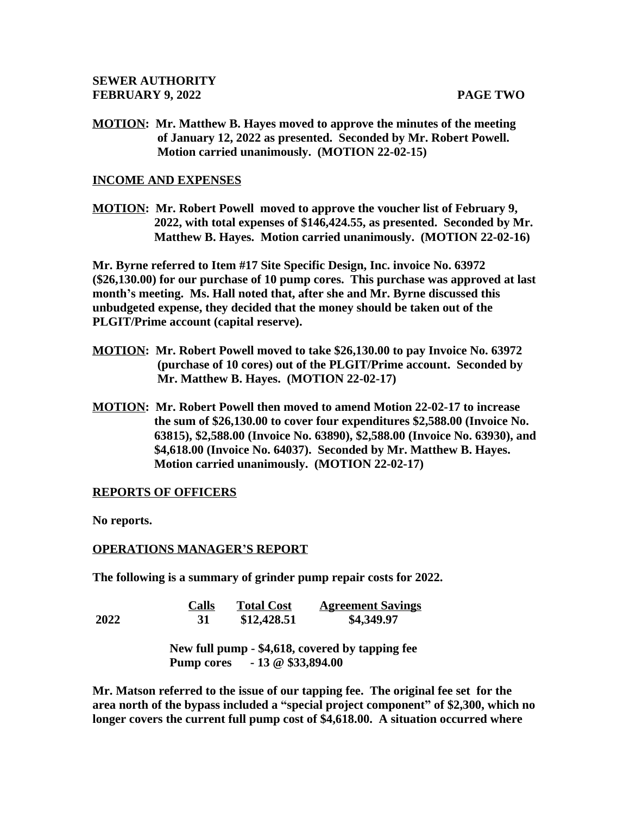**MOTION: Mr. Matthew B. Hayes moved to approve the minutes of the meeting of January 12, 2022 as presented. Seconded by Mr. Robert Powell. Motion carried unanimously. (MOTION 22-02-15)**

#### **INCOME AND EXPENSES**

**MOTION: Mr. Robert Powell moved to approve the voucher list of February 9, 2022, with total expenses of \$146,424.55, as presented. Seconded by Mr. Matthew B. Hayes. Motion carried unanimously. (MOTION 22-02-16)**

**Mr. Byrne referred to Item #17 Site Specific Design, Inc. invoice No. 63972 (\$26,130.00) for our purchase of 10 pump cores. This purchase was approved at last month's meeting. Ms. Hall noted that, after she and Mr. Byrne discussed this unbudgeted expense, they decided that the money should be taken out of the PLGIT/Prime account (capital reserve).**

- **MOTION: Mr. Robert Powell moved to take \$26,130.00 to pay Invoice No. 63972 (purchase of 10 cores) out of the PLGIT/Prime account. Seconded by Mr. Matthew B. Hayes. (MOTION 22-02-17)**
- **MOTION: Mr. Robert Powell then moved to amend Motion 22-02-17 to increase the sum of \$26,130.00 to cover four expenditures \$2,588.00 (Invoice No. 63815), \$2,588.00 (Invoice No. 63890), \$2,588.00 (Invoice No. 63930), and \$4,618.00 (Invoice No. 64037). Seconded by Mr. Matthew B. Hayes. Motion carried unanimously. (MOTION 22-02-17)**

### **REPORTS OF OFFICERS**

**No reports.**

#### **OPERATIONS MANAGER'S REPORT**

**The following is a summary of grinder pump repair costs for 2022.** 

|      | <b>Calls</b>                              | <b>Total Cost</b> | <b>Agreement Savings</b>                        |  |  |
|------|-------------------------------------------|-------------------|-------------------------------------------------|--|--|
| 2022 | 31                                        | \$12,428.51       | \$4,349.97                                      |  |  |
|      |                                           |                   | New full pump - \$4,618, covered by tapping fee |  |  |
|      | $-13 \t@ 333,894.00$<br><b>Pump cores</b> |                   |                                                 |  |  |

**Mr. Matson referred to the issue of our tapping fee. The original fee set for the area north of the bypass included a "special project component" of \$2,300, which no longer covers the current full pump cost of \$4,618.00. A situation occurred where**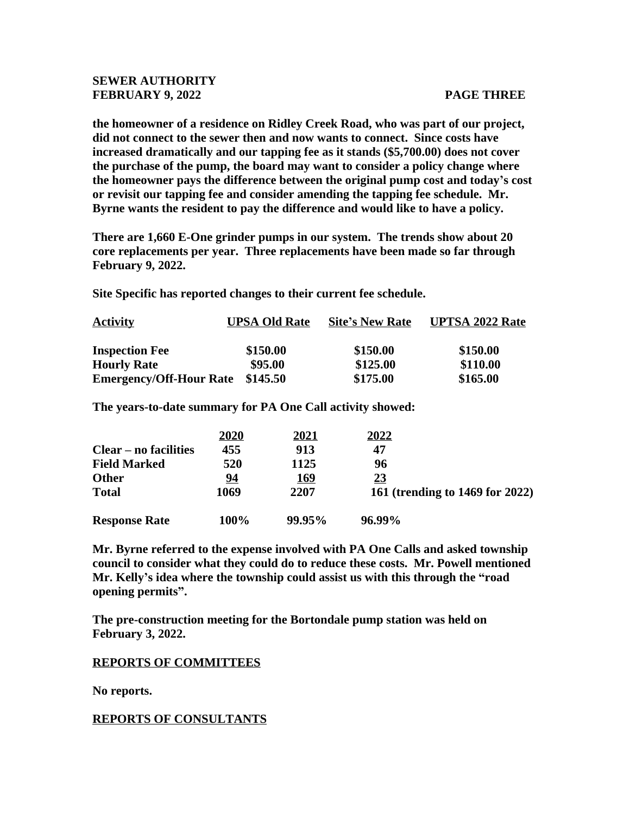### **SEWER AUTHORITY FEBRUARY 9, 2022** PAGE THREE

**the homeowner of a residence on Ridley Creek Road, who was part of our project, did not connect to the sewer then and now wants to connect. Since costs have increased dramatically and our tapping fee as it stands (\$5,700.00) does not cover the purchase of the pump, the board may want to consider a policy change where the homeowner pays the difference between the original pump cost and today's cost or revisit our tapping fee and consider amending the tapping fee schedule. Mr. Byrne wants the resident to pay the difference and would like to have a policy.**

**There are 1,660 E-One grinder pumps in our system. The trends show about 20 core replacements per year. Three replacements have been made so far through February 9, 2022.** 

**Site Specific has reported changes to their current fee schedule.**

| <b>Activity</b>                | <b>UPSA Old Rate</b> | <b>Site's New Rate</b> | <b>UPTSA 2022 Rate</b> |
|--------------------------------|----------------------|------------------------|------------------------|
| <b>Inspection Fee</b>          | \$150.00             | \$150.00               | \$150.00               |
| <b>Hourly Rate</b>             | \$95.00              | \$125.00               | \$110.00               |
| <b>Emergency/Off-Hour Rate</b> | \$145.50             | \$175.00               | \$165.00               |

**The years-to-date summary for PA One Call activity showed:**

|                              | 2020 | <u>2021</u> | 2022                            |
|------------------------------|------|-------------|---------------------------------|
| <b>Clear – no facilities</b> | 455  | 913         | 47                              |
| <b>Field Marked</b>          | 520  | 1125        | 96                              |
| <b>Other</b>                 | 94   | <u>169</u>  | <u>23</u>                       |
| <b>Total</b>                 | 1069 | 2207        | 161 (trending to 1469 for 2022) |
| <b>Response Rate</b>         | 100% | 99.95%      | 96.99%                          |

**Mr. Byrne referred to the expense involved with PA One Calls and asked township council to consider what they could do to reduce these costs. Mr. Powell mentioned Mr. Kelly's idea where the township could assist us with this through the "road opening permits".**

**The pre-construction meeting for the Bortondale pump station was held on February 3, 2022.**

### **REPORTS OF COMMITTEES**

**No reports.**

**REPORTS OF CONSULTANTS**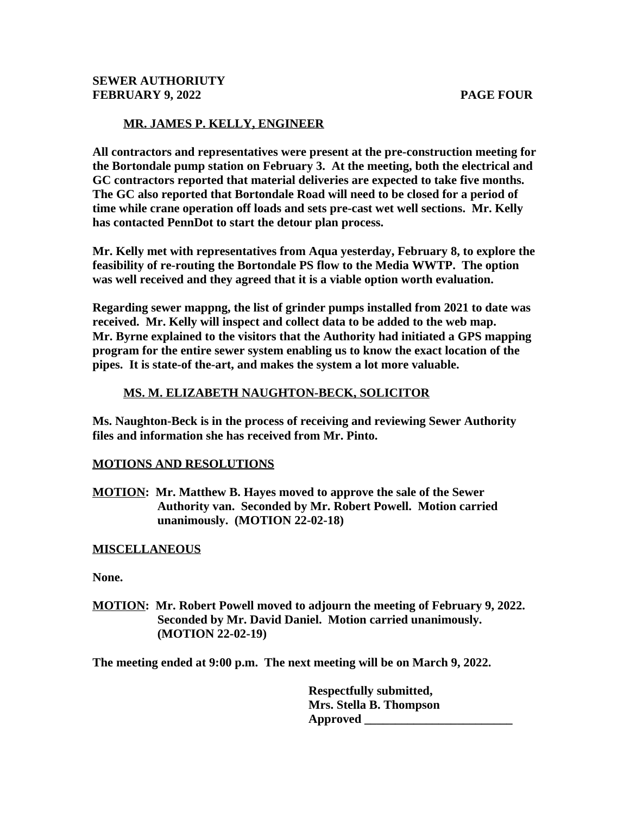# **MR. JAMES P. KELLY, ENGINEER**

**All contractors and representatives were present at the pre-construction meeting for the Bortondale pump station on February 3. At the meeting, both the electrical and GC contractors reported that material deliveries are expected to take five months. The GC also reported that Bortondale Road will need to be closed for a period of time while crane operation off loads and sets pre-cast wet well sections. Mr. Kelly has contacted PennDot to start the detour plan process.**

**Mr. Kelly met with representatives from Aqua yesterday, February 8, to explore the feasibility of re-routing the Bortondale PS flow to the Media WWTP. The option was well received and they agreed that it is a viable option worth evaluation.** 

**Regarding sewer mappng, the list of grinder pumps installed from 2021 to date was received. Mr. Kelly will inspect and collect data to be added to the web map. Mr. Byrne explained to the visitors that the Authority had initiated a GPS mapping program for the entire sewer system enabling us to know the exact location of the pipes. It is state-of the-art, and makes the system a lot more valuable.** 

## **MS. M. ELIZABETH NAUGHTON-BECK, SOLICITOR**

**Ms. Naughton-Beck is in the process of receiving and reviewing Sewer Authority files and information she has received from Mr. Pinto.**

## **MOTIONS AND RESOLUTIONS**

**MOTION: Mr. Matthew B. Hayes moved to approve the sale of the Sewer Authority van. Seconded by Mr. Robert Powell. Motion carried unanimously. (MOTION 22-02-18)**

## **MISCELLANEOUS**

**None.**

**MOTION: Mr. Robert Powell moved to adjourn the meeting of February 9, 2022. Seconded by Mr. David Daniel. Motion carried unanimously. (MOTION 22-02-19)**

**The meeting ended at 9:00 p.m. The next meeting will be on March 9, 2022.**

 **Respectfully submitted, Mrs. Stella B. Thompson Approved \_\_\_\_\_\_\_\_\_\_\_\_\_\_\_\_\_\_\_\_\_\_\_\_**